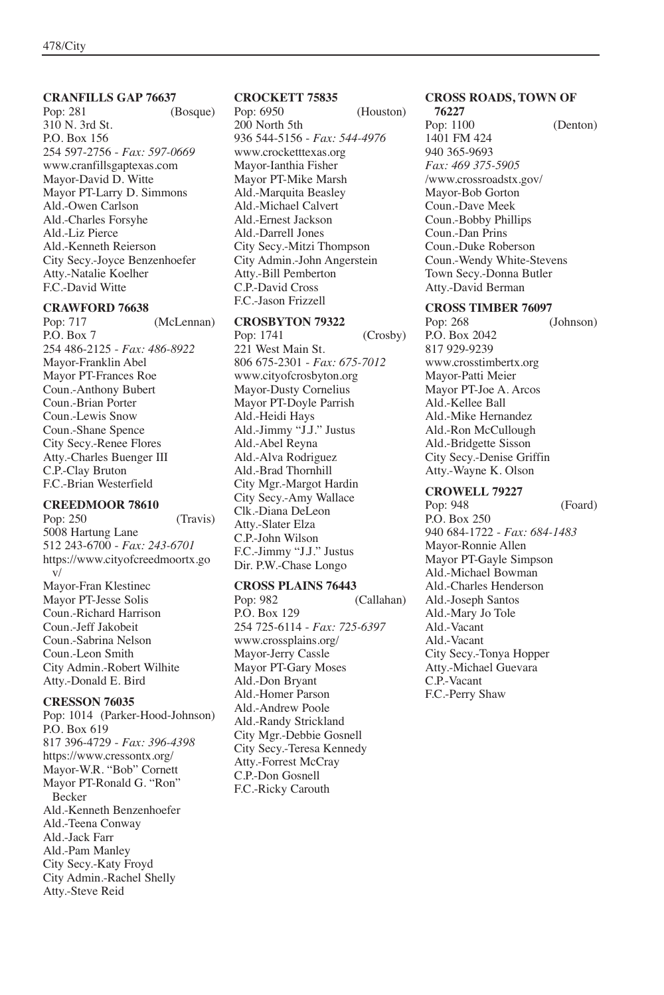# **CRANFILLS GAP 76637**

(Bosque) 310 N. 3rd St. P.O. Box 156 254 597-2756 - *Fax: 597-0669* www.cranfillsgaptexas.com Mayor-David D. Witte Mayor PT-Larry D. Simmons Ald.-Owen Carlson Ald.-Charles Forsyhe Ald.-Liz Pierce Ald.-Kenneth Reierson City Secy.-Joyce Benzenhoefer Atty.-Natalie Koelher F.C.-David Witte

### **CRAWFORD 76638**

Pop: 717 (McLennan) P.O. Box 7 254 486-2125 - *Fax: 486-8922* Mayor-Franklin Abel Mayor PT-Frances Roe Coun.-Anthony Bubert Coun.-Brian Porter Coun.-Lewis Snow Coun.-Shane Spence City Secy.-Renee Flores Atty.-Charles Buenger III C.P.-Clay Bruton F.C.-Brian Westerfield

## **CREEDMOOR 78610**

Pop: 250 (Travis) 5008 Hartung Lane 512 243-6700 - *Fax: 243-6701* https://www.cityofcreedmoortx.go v/ Mayor-Fran Klestinec Mayor PT-Jesse Solis Coun.-Richard Harrison Coun.-Jeff Jakobeit Coun.-Sabrina Nelson Coun.-Leon Smith City Admin.-Robert Wilhite Atty.-Donald E. Bird

# **CRESSON 76035**

Pop: 1014 (Parker-Hood-Johnson) P.O. Box 619 817 396-4729 - *Fax: 396-4398* https://www.cressontx.org/ Mayor-W.R. "Bob" Cornett Mayor PT-Ronald G. "Ron" Becker Ald.-Kenneth Benzenhoefer Ald.-Teena Conway Ald.-Jack Farr Ald.-Pam Manley City Secy.-Katy Froyd City Admin.-Rachel Shelly Atty.-Steve Reid

# **CROCKETT 75835**

(Houston) 200 North 5th 936 544-5156 - *Fax: 544-4976* www.crocketttexas.org Mayor-Ianthia Fisher Mayor PT-Mike Marsh Ald.-Marquita Beasley Ald.-Michael Calvert Ald.-Ernest Jackson Ald.-Darrell Jones City Secy.-Mitzi Thompson City Admin.-John Angerstein Atty.-Bill Pemberton C.P.-David Cross F.C.-Jason Frizzell

### **CROSBYTON 79322**

Pop: 1741 (Crosby) 221 West Main St. 806 675-2301 - *Fax: 675-7012* www.cityofcrosbyton.org Mayor-Dusty Cornelius Mayor PT-Doyle Parrish Ald.-Heidi Hays Ald.-Jimmy "J.J." Justus Ald.-Abel Reyna Ald.-Alva Rodriguez Ald.-Brad Thornhill City Mgr.-Margot Hardin City Secy.-Amy Wallace Clk.-Diana DeLeon Atty.-Slater Elza C.P.-John Wilson F.C.-Jimmy "J.J." Justus Dir. P.W.-Chase Longo

# **CROSS PLAINS 76443**

(Callahan) P.O. Box 129 254 725-6114 - *Fax: 725-6397* www.crossplains.org/ Mayor-Jerry Cassle Mayor PT-Gary Moses Ald.-Don Bryant Ald.-Homer Parson Ald.-Andrew Poole Ald.-Randy Strickland City Mgr.-Debbie Gosnell City Secy.-Teresa Kennedy Atty.-Forrest McCray C.P.-Don Gosnell F.C.-Ricky Carouth

#### **CROSS ROADS, TOWN OF 76227**

Pop: 1100 (Denton) 1401 FM 424 940 365-9693 *Fax: 469 375-5905* /www.crossroadstx.gov/ Mayor-Bob Gorton Coun.-Dave Meek Coun.-Bobby Phillips Coun.-Dan Prins Coun.-Duke Roberson Coun.-Wendy White-Stevens Town Secy.-Donna Butler Atty.-David Berman

### **CROSS TIMBER 76097**

Pop: 268 (Johnson) P.O. Box 2042 817 929-9239 www.crosstimbertx.org Mayor-Patti Meier Mayor PT-Joe A. Arcos Ald.-Kellee Ball Ald.-Mike Hernandez Ald.-Ron McCullough Ald.-Bridgette Sisson City Secy.-Denise Griffin Atty.-Wayne K. Olson

## **CROWELL 79227**

Pop: 948 (Foard) P.O. Box 250 940 684-1722 - *Fax: 684-1483* Mayor-Ronnie Allen Mayor PT-Gayle Simpson Ald.-Michael Bowman Ald.-Charles Henderson Ald.-Joseph Santos Ald.-Mary Jo Tole Ald.-Vacant Ald.-Vacant City Secy.-Tonya Hopper Atty.-Michael Guevara C.P.-Vacant F.C.-Perry Shaw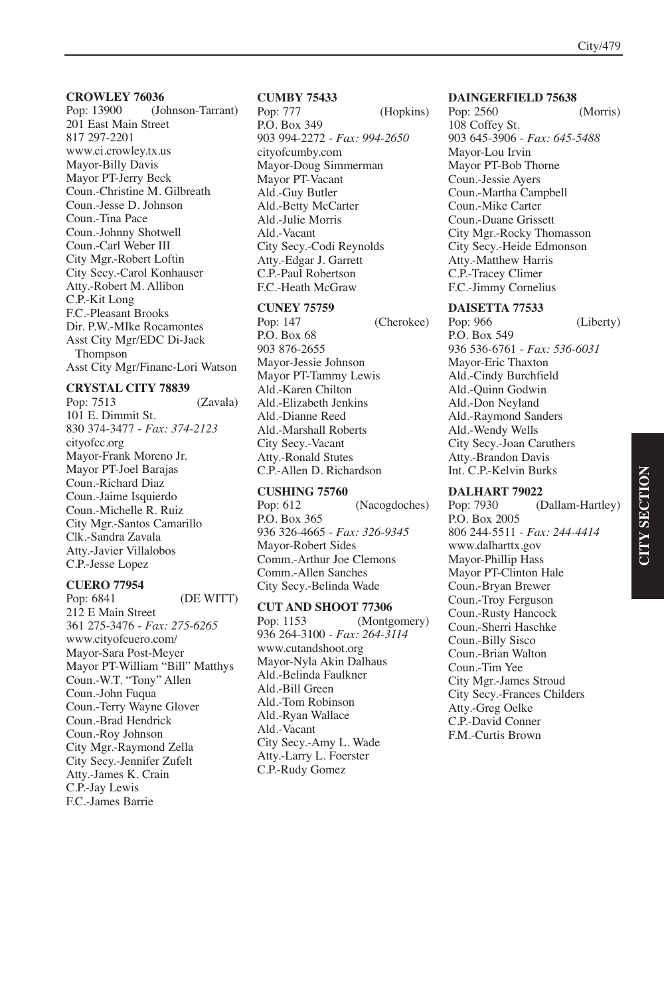(Johnson-Tarrant) 201 East Main Street 817 297-2201 www.ci.crowley.tx.us Mayor-Billy Davis Mayor PT-Jerry Beck Coun.-Christine M. Gilbreath Coun.-Jesse D. Johnson Coun.-Tina Pace Coun.-Johnny Shotwell Coun.-Carl Weber III City Mgr.-Robert Loftin City Secy.-Carol Konhauser Atty.-Robert M. Allibon C.P.-Kit Long F.C.-Pleasant Brooks Dir. P.W.-MIke Rocamontes Asst City Mgr/EDC Di-Jack Thompson Asst City Mgr/Financ-Lori Watson

#### **CRYSTAL CITY 78839**

Pop: 7513 (Zavala) 101 E. Dimmit St. 830 374-3477 - *Fax: 374-2123* cityofcc.org Mayor-Frank Moreno Jr. Mayor PT-Joel Barajas Coun.-Richard Diaz Coun.-Jaime Isquierdo Coun.-Michelle R. Ruiz City Mgr.-Santos Camarillo Clk.-Sandra Zavala Atty.-Javier Villalobos C.P.-Jesse Lopez

#### **CUERO 77954**

Pop: 6841 (DE WITT) 212 E Main Street 361 275-3476 - *Fax: 275-6265* www.cityofcuero.com/ Mayor-Sara Post-Meyer Mayor PT-William "Bill" Matthys Coun.-W.T. "Tony" Allen Coun.-John Fuqua Coun.-Terry Wayne Glover Coun.-Brad Hendrick Coun.-Roy Johnson City Mgr.-Raymond Zella City Secy.-Jennifer Zufelt Atty.-James K. Crain C.P.-Jay Lewis F.C.-James Barrie

# **CUMBY 75433**

(Hopkins) P.O. Box 349 903 994-2272 - *Fax: 994-2650* cityofcumby.com Mayor-Doug Simmerman Mayor PT-Vacant Ald.-Guy Butler Ald.-Betty McCarter Ald.-Julie Morris Ald.-Vacant City Secy.-Codi Reynolds Atty.-Edgar J. Garrett C.P.-Paul Robertson F.C.-Heath McGraw

#### **CUNEY 75759**

Pop: 147 (Cherokee) P.O. Box 68 903 876-2655 Mayor-Jessie Johnson Mayor PT-Tammy Lewis Ald.-Karen Chilton Ald.-Elizabeth Jenkins Ald.-Dianne Reed Ald.-Marshall Roberts City Secy.-Vacant Atty.-Ronald Stutes C.P.-Allen D. Richardson

**CUSHING 75760** (Nacogdoches) P.O. Box 365 936 326-4665 - *Fax: 326-9345* Mayor-Robert Sides Comm.-Arthur Joe Clemons Comm.-Allen Sanches City Secy.-Belinda Wade

**CUT AND SHOOT 77306** Pop: 1153 (Montgomery) 936 264-3100 - *Fax: 264-3114* www.cutandshoot.org Mayor-Nyla Akin Dalhaus Ald.-Belinda Faulkner Ald.-Bill Green Ald.-Tom Robinson Ald.-Ryan Wallace Ald.-Vacant City Secy.-Amy L. Wade Atty.-Larry L. Foerster C.P.-Rudy Gomez

#### **DAINGERFIELD 75638**

Pop: 2560 (Morris) 108 Coffey St. 903 645-3906 - *Fax: 645-5488* Mayor-Lou Irvin Mayor PT-Bob Thorne Coun.-Jessie Ayers Coun.-Martha Campbell Coun.-Mike Carter Coun.-Duane Grissett City Mgr.-Rocky Thomasson City Secy.-Heide Edmonson Atty.-Matthew Harris C.P.-Tracey Climer F.C.-Jimmy Cornelius

#### **DAISETTA 77533**

Pop: 966 (Liberty) P.O. Box 549 936 536-6761 - *Fax: 536-6031* Mayor-Eric Thaxton Ald.-Cindy Burchfield Ald.-Quinn Godwin Ald.-Don Neyland Ald.-Raymond Sanders Ald.-Wendy Wells City Secy.-Joan Caruthers Atty.-Brandon Davis Int. C.P.-Kelvin Burks

**DALHART 79022** (Dallam-Hartley) P.O. Box 2005 806 244-5511 - *Fax: 244-4414* www.dalharttx.gov Mayor-Phillip Hass Mayor PT-Clinton Hale Coun.-Bryan Brewer Coun.-Troy Ferguson Coun.-Rusty Hancock Coun.-Sherri Haschke Coun.-Billy Sisco Coun.-Brian Walton Coun.-Tim Yee City Mgr.-James Stroud City Secy.-Frances Childers Atty.-Greg Oelke C.P.-David Conner F.M.-Curtis Brown